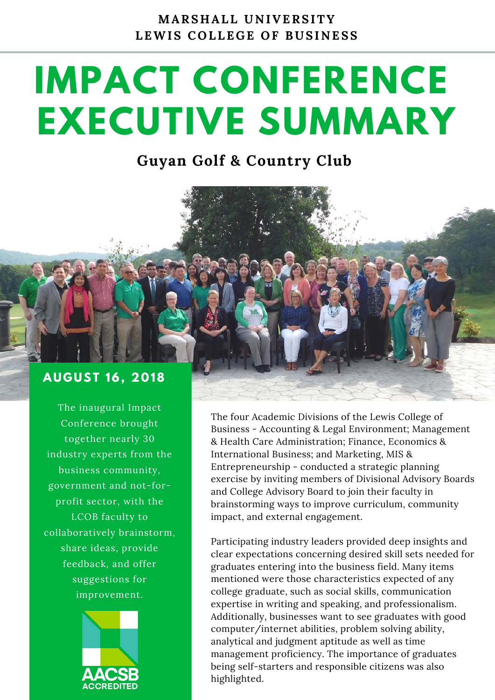**M A R S H A L L U N I V E R S I T Y**  LEWIS COLLEGE OF BUSINESS

## **IMPACT CONFERENCE EXECUTIVE SUMMARY**

## **Guyan Golf & Country Club**

## **A U G U S T 1 6 , 2 0 1 8**

The inaugural Impact Conference brought together nearly 30 industry experts from the business community, government and not-forprofit sector, with the LCOB faculty to collaboratively brainstorm, share ideas, provide feedback, and offer suggestions for improvement.



The four Academic Divisions of the Lewis College of Business - Accounting & Legal Environment; Management & Health Care Administration; Finance, Economics & International Business; and Marketing, MIS & Entrepreneurship - conducted a strategic planning exercise by inviting members of Divisional Advisory Boards and College Advisory Board to join their faculty in brainstorming ways to improve curriculum, community impact, and external engagement.

Participating industry leaders provided deep insights and clear expectations concerning desired skill sets needed for graduates entering into the business field. Many items mentioned were those characteristics expected of any college graduate, such as social skills, communication expertise in writing and speaking, and professionalism. Additionally, businesses want to see graduates with good computer/internet abilities, problem solving ability, analytical and judgment aptitude as well as time management proficiency. The importance of graduates being self-starters and responsible citizens was also highlighted.